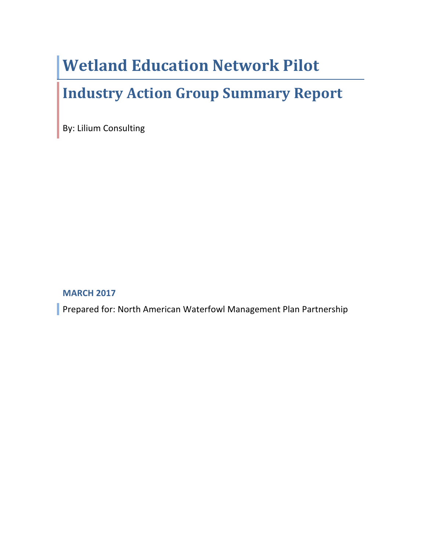# **Wetland Education Network Pilot**

# **Industry Action Group Summary Report**

By: Lilium Consulting

#### **MARCH 2017**

Prepared for: North American Waterfowl Management Plan Partnership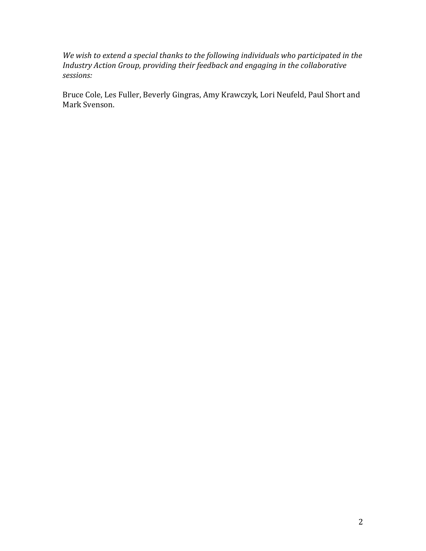We wish to extend a special thanks to the following individuals who participated in the *Industry Action Group, providing their feedback and engaging in the collaborative sessions:*

Bruce Cole, Les Fuller, Beverly Gingras, Amy Krawczyk, Lori Neufeld, Paul Short and Mark Svenson.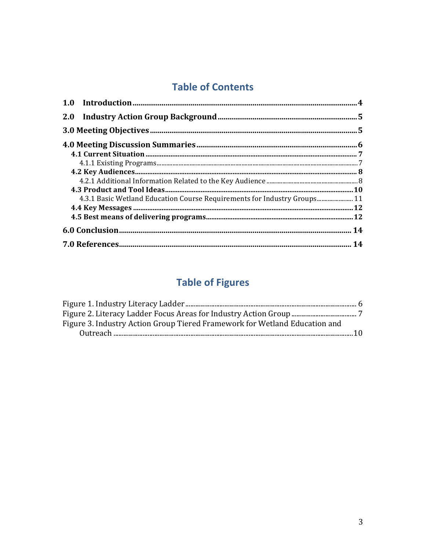## **Table of Contents**

| 4.3.1 Basic Wetland Education Course Requirements for Industry Groups 11 |  |
|--------------------------------------------------------------------------|--|
|                                                                          |  |
|                                                                          |  |
|                                                                          |  |
|                                                                          |  |

## **Table of Figures**

| Figure 3. Industry Action Group Tiered Framework for Wetland Education and |  |
|----------------------------------------------------------------------------|--|
|                                                                            |  |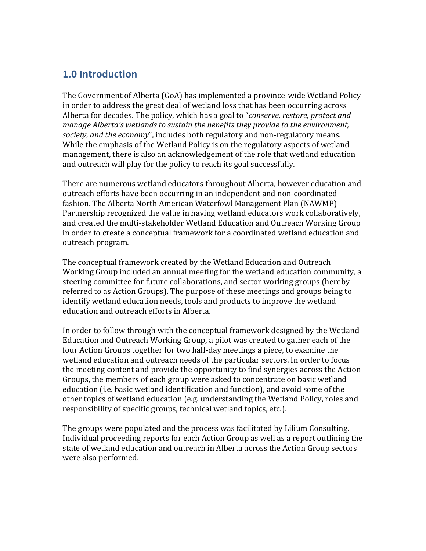### **1.0 Introduction**

The Government of Alberta (GoA) has implemented a province-wide Wetland Policy in order to address the great deal of wetland loss that has been occurring across Alberta for decades. The policy, which has a goal to "*conserve, restore, protect and manage Alberta's* wetlands to sustain the benefits they provide to the environment, *society, and the economy*", includes both regulatory and non-regulatory means. While the emphasis of the Wetland Policy is on the regulatory aspects of wetland management, there is also an acknowledgement of the role that wetland education and outreach will play for the policy to reach its goal successfully.

There are numerous wetland educators throughout Alberta, however education and outreach efforts have been occurring in an independent and non-coordinated fashion. The Alberta North American Waterfowl Management Plan (NAWMP) Partnership recognized the value in having wetland educators work collaboratively, and created the multi-stakeholder Wetland Education and Outreach Working Group in order to create a conceptual framework for a coordinated wetland education and outreach program.

The conceptual framework created by the Wetland Education and Outreach Working Group included an annual meeting for the wetland education community, a steering committee for future collaborations, and sector working groups (hereby referred to as Action Groups). The purpose of these meetings and groups being to identify wetland education needs, tools and products to improve the wetland education and outreach efforts in Alberta.

In order to follow through with the conceptual framework designed by the Wetland Education and Outreach Working Group, a pilot was created to gather each of the four Action Groups together for two half-day meetings a piece, to examine the wetland education and outreach needs of the particular sectors. In order to focus the meeting content and provide the opportunity to find synergies across the Action Groups, the members of each group were asked to concentrate on basic wetland education (i.e. basic wetland identification and function), and avoid some of the other topics of wetland education (e.g. understanding the Wetland Policy, roles and responsibility of specific groups, technical wetland topics, etc.).

The groups were populated and the process was facilitated by Lilium Consulting. Individual proceeding reports for each Action Group as well as a report outlining the state of wetland education and outreach in Alberta across the Action Group sectors were also performed.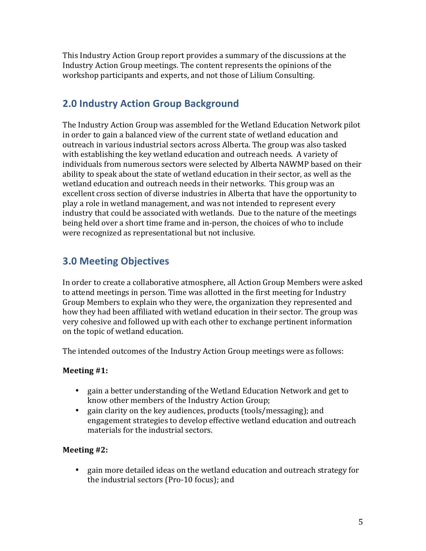This Industry Action Group report provides a summary of the discussions at the Industry Action Group meetings. The content represents the opinions of the workshop participants and experts, and not those of Lilium Consulting.

## **2.0 Industry Action Group Background**

The Industry Action Group was assembled for the Wetland Education Network pilot in order to gain a balanced view of the current state of wetland education and outreach in various industrial sectors across Alberta. The group was also tasked with establishing the key wetland education and outreach needs. A variety of individuals from numerous sectors were selected by Alberta NAWMP based on their ability to speak about the state of wetland education in their sector, as well as the wetland education and outreach needs in their networks. This group was an excellent cross section of diverse industries in Alberta that have the opportunity to play a role in wetland management, and was not intended to represent every industry that could be associated with wetlands. Due to the nature of the meetings being held over a short time frame and in-person, the choices of who to include were recognized as representational but not inclusive.

## **3.0 Meeting Objectives**

In order to create a collaborative atmosphere, all Action Group Members were asked to attend meetings in person. Time was allotted in the first meeting for Industry Group Members to explain who they were, the organization they represented and how they had been affiliated with wetland education in their sector. The group was very cohesive and followed up with each other to exchange pertinent information on the topic of wetland education.

The intended outcomes of the Industry Action Group meetings were as follows:

#### **Meeting** #1:

- gain a better understanding of the Wetland Education Network and get to know other members of the Industry Action Group;
- gain clarity on the key audiences, products (tools/messaging); and engagement strategies to develop effective wetland education and outreach materials for the industrial sectors.

#### **Meeting** #2:

• gain more detailed ideas on the wetland education and outreach strategy for the industrial sectors (Pro-10 focus); and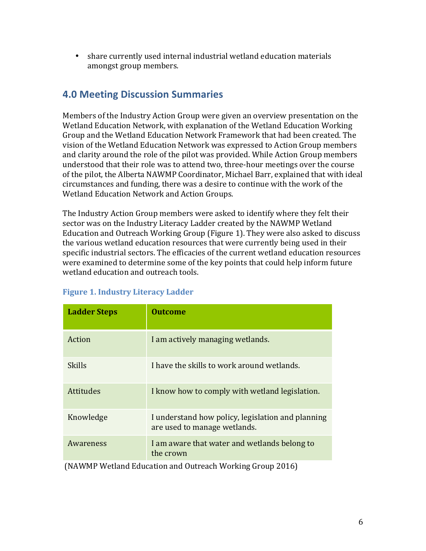• share currently used internal industrial wetland education materials amongst group members.

### **4.0 Meeting Discussion Summaries**

Members of the Industry Action Group were given an overview presentation on the Wetland Education Network, with explanation of the Wetland Education Working Group and the Wetland Education Network Framework that had been created. The vision of the Wetland Education Network was expressed to Action Group members and clarity around the role of the pilot was provided. While Action Group members understood that their role was to attend two, three-hour meetings over the course of the pilot, the Alberta NAWMP Coordinator, Michael Barr, explained that with ideal circumstances and funding, there was a desire to continue with the work of the Wetland Education Network and Action Groups.

The Industry Action Group members were asked to identify where they felt their sector was on the Industry Literacy Ladder created by the NAWMP Wetland Education and Outreach Working Group (Figure 1). They were also asked to discuss the various wetland education resources that were currently being used in their specific industrial sectors. The efficacies of the current wetland education resources were examined to determine some of the key points that could help inform future wetland education and outreach tools.

| <b>Ladder Steps</b> | <b>Outcome</b>                                                                    |
|---------------------|-----------------------------------------------------------------------------------|
| Action              | I am actively managing wetlands.                                                  |
| <b>Skills</b>       | I have the skills to work around wetlands.                                        |
| Attitudes           | I know how to comply with wetland legislation.                                    |
| Knowledge           | I understand how policy, legislation and planning<br>are used to manage wetlands. |
| Awareness           | I am aware that water and wetlands belong to<br>the crown                         |
|                     | (NAWMD Wotland Education and Outroach Working Crown 2016)                         |

#### **Figure 1. Industry Literacy Ladder**

(NAWMP Wetland Education and Outreach Working Group 2016)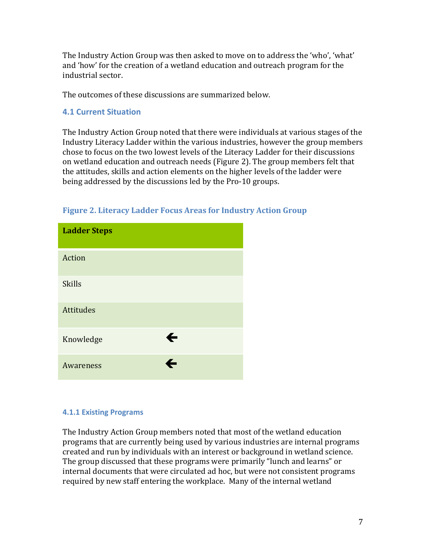The Industry Action Group was then asked to move on to address the 'who', 'what' and 'how' for the creation of a wetland education and outreach program for the industrial sector.

The outcomes of these discussions are summarized below.

#### **4.1 Current Situation**

The Industry Action Group noted that there were individuals at various stages of the Industry Literacy Ladder within the various industries, however the group members chose to focus on the two lowest levels of the Literacy Ladder for their discussions on wetland education and outreach needs (Figure 2). The group members felt that the attitudes, skills and action elements on the higher levels of the ladder were being addressed by the discussions led by the Pro-10 groups.

| <b>Ladder Steps</b> |              |
|---------------------|--------------|
| Action              |              |
| <b>Skills</b>       |              |
| <b>Attitudes</b>    |              |
| Knowledge           | $\leftarrow$ |
| Awareness           | ←            |

#### **Figure 2. Literacy Ladder Focus Areas for Industry Action Group**

#### **4.1.1 Existing Programs**

The Industry Action Group members noted that most of the wetland education programs that are currently being used by various industries are internal programs created and run by individuals with an interest or background in wetland science. The group discussed that these programs were primarily "lunch and learns" or internal documents that were circulated ad hoc, but were not consistent programs required by new staff entering the workplace. Many of the internal wetland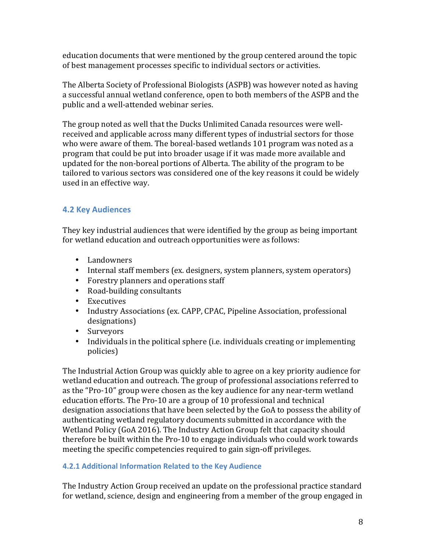education documents that were mentioned by the group centered around the topic of best management processes specific to individual sectors or activities.

The Alberta Society of Professional Biologists (ASPB) was however noted as having a successful annual wetland conference, open to both members of the ASPB and the public and a well-attended webinar series.

The group noted as well that the Ducks Unlimited Canada resources were wellreceived and applicable across many different types of industrial sectors for those who were aware of them. The boreal-based wetlands 101 program was noted as a program that could be put into broader usage if it was made more available and updated for the non-boreal portions of Alberta. The ability of the program to be tailored to various sectors was considered one of the key reasons it could be widely used in an effective way.

#### **4.2 Key Audiences**

They key industrial audiences that were identified by the group as being important for wetland education and outreach opportunities were as follows:

- Landowners
- Internal staff members (ex. designers, system planners, system operators)
- Forestry planners and operations staff
- Road-building consultants
- Executives
- Industry Associations (ex. CAPP, CPAC, Pipeline Association, professional designations)
- Surveyors
- Individuals in the political sphere (i.e. individuals creating or implementing policies)

The Industrial Action Group was quickly able to agree on a key priority audience for wetland education and outreach. The group of professional associations referred to as the "Pro-10" group were chosen as the key audience for any near-term wetland education efforts. The Pro-10 are a group of 10 professional and technical designation associations that have been selected by the GoA to possess the ability of authenticating wetland regulatory documents submitted in accordance with the Wetland Policy (GoA 2016). The Industry Action Group felt that capacity should therefore be built within the Pro-10 to engage individuals who could work towards meeting the specific competencies required to gain sign-off privileges.

#### **4.2.1 Additional Information Related to the Key Audience**

The Industry Action Group received an update on the professional practice standard for wetland, science, design and engineering from a member of the group engaged in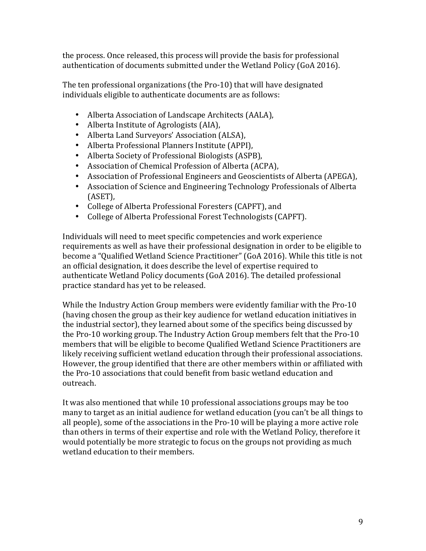the process. Once released, this process will provide the basis for professional authentication of documents submitted under the Wetland Policy (GoA 2016).

The ten professional organizations (the Pro-10) that will have designated individuals eligible to authenticate documents are as follows:

- Alberta Association of Landscape Architects (AALA),
- Alberta Institute of Agrologists (AIA),
- Alberta Land Surveyors' Association (ALSA),
- Alberta Professional Planners Institute (APPI),
- Alberta Society of Professional Biologists (ASPB),
- Association of Chemical Profession of Alberta (ACPA),
- Association of Professional Engineers and Geoscientists of Alberta (APEGA),
- Association of Science and Engineering Technology Professionals of Alberta (ASET),
- College of Alberta Professional Foresters (CAPFT), and
- College of Alberta Professional Forest Technologists (CAPFT).

Individuals will need to meet specific competencies and work experience requirements as well as have their professional designation in order to be eligible to become a "Qualified Wetland Science Practitioner" (GoA 2016). While this title is not an official designation, it does describe the level of expertise required to authenticate Wetland Policy documents (GoA 2016). The detailed professional practice standard has yet to be released.

While the Industry Action Group members were evidently familiar with the Pro-10 (having chosen the group as their key audience for wetland education initiatives in the industrial sector), they learned about some of the specifics being discussed by the Pro-10 working group. The Industry Action Group members felt that the Pro-10 members that will be eligible to become Qualified Wetland Science Practitioners are likely receiving sufficient wetland education through their professional associations. However, the group identified that there are other members within or affiliated with the Pro-10 associations that could benefit from basic wetland education and outreach.

It was also mentioned that while 10 professional associations groups may be too many to target as an initial audience for wetland education (you can't be all things to all people), some of the associations in the  $Pro-10$  will be playing a more active role than others in terms of their expertise and role with the Wetland Policy, therefore it would potentially be more strategic to focus on the groups not providing as much wetland education to their members.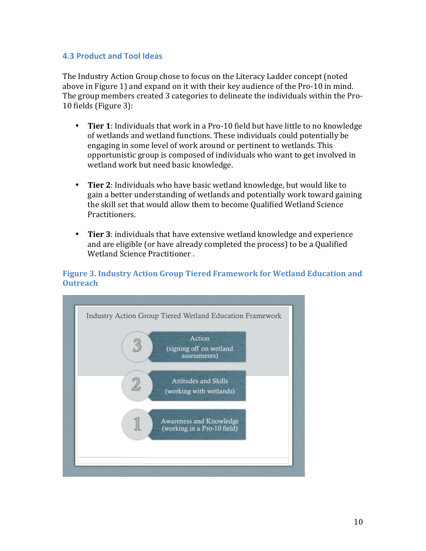#### **4.3 Product and Tool Ideas**

The Industry Action Group chose to focus on the Literacy Ladder concept (noted above in Figure 1) and expand on it with their key audience of the Pro-10 in mind. The group members created 3 categories to delineate the individuals within the Pro-10 fields (Figure 3):

- Tier 1: Individuals that work in a Pro-10 field but have little to no knowledge of wetlands and wetland functions. These individuals could potentially be engaging in some level of work around or pertinent to wetlands. This opportunistic group is composed of individuals who want to get involved in wetland work but need basic knowledge.
- Tier 2: Individuals who have basic wetland knowledge, but would like to gain a better understanding of wetlands and potentially work toward gaining the skill set that would allow them to become Qualified Wetland Science Practitioners.
- Tier 3: individuals that have extensive wetland knowledge and experience and are eligible (or have already completed the process) to be a Qualified Wetland Science Practitioner.

#### **Figure 3. Industry Action Group Tiered Framework for Wetland Education and Outreach**

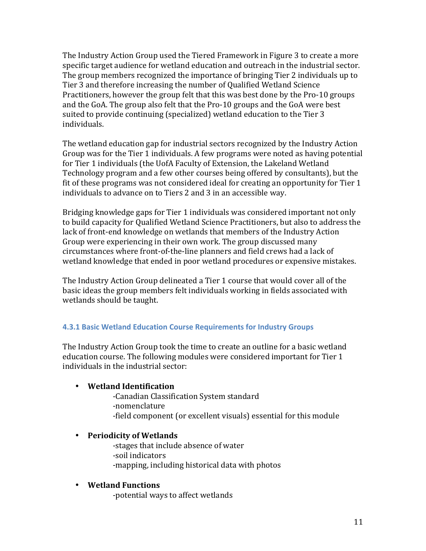The Industry Action Group used the Tiered Framework in Figure 3 to create a more specific target audience for wetland education and outreach in the industrial sector. The group members recognized the importance of bringing Tier 2 individuals up to Tier 3 and therefore increasing the number of Qualified Wetland Science Practitioners, however the group felt that this was best done by the Pro-10 groups and the GoA. The group also felt that the Pro-10 groups and the GoA were best suited to provide continuing (specialized) wetland education to the Tier 3 individuals.

The wetland education gap for industrial sectors recognized by the Industry Action Group was for the Tier 1 individuals. A few programs were noted as having potential for Tier 1 individuals (the UofA Faculty of Extension, the Lakeland Wetland Technology program and a few other courses being offered by consultants), but the fit of these programs was not considered ideal for creating an opportunity for Tier  $1$ individuals to advance on to Tiers 2 and 3 in an accessible way.

Bridging knowledge gaps for Tier 1 individuals was considered important not only to build capacity for Qualified Wetland Science Practitioners, but also to address the lack of front-end knowledge on wetlands that members of the Industry Action Group were experiencing in their own work. The group discussed many circumstances where front-of-the-line planners and field crews had a lack of wetland knowledge that ended in poor wetland procedures or expensive mistakes.

The Industry Action Group delineated a Tier 1 course that would cover all of the basic ideas the group members felt individuals working in fields associated with wetlands should be taught.

#### **4.3.1 Basic Wetland Education Course Requirements for Industry Groups**

The Industry Action Group took the time to create an outline for a basic wetland education course. The following modules were considered important for Tier 1 individuals in the industrial sector:

#### • **Wetland Identification**

-Canadian Classification System standard

- -nomenclature
- -field component (or excellent visuals) essential for this module

#### • **Periodicity of Wetlands**

-stages that include absence of water -soil indicators -mapping, including historical data with photos

#### • **Wetland Functions**

-potential ways to affect wetlands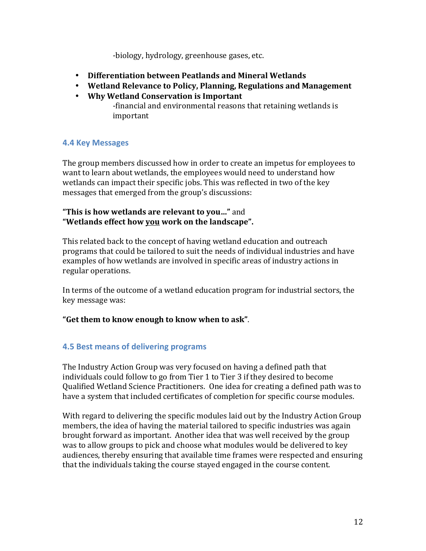-biology, hydrology, greenhouse gases, etc.

- **Differentiation between Peatlands and Mineral Wetlands**
- Wetland Relevance to Policy, Planning, Regulations and Management
- **Why Wetland Conservation is Important**
	- -financial and environmental reasons that retaining wetlands is important

#### **4.4 Key Messages**

The group members discussed how in order to create an impetus for employees to want to learn about wetlands, the employees would need to understand how wetlands can impact their specific jobs. This was reflected in two of the key messages that emerged from the group's discussions:

#### **"This is how wetlands are relevant to you..."** and **"Wetlands effect how you work on the landscape".**

This related back to the concept of having wetland education and outreach programs that could be tailored to suit the needs of individual industries and have examples of how wetlands are involved in specific areas of industry actions in regular operations.

In terms of the outcome of a wetland education program for industrial sectors, the key message was:

#### "Get them to know enough to know when to ask".

#### **4.5 Best means of delivering programs**

The Industry Action Group was very focused on having a defined path that individuals could follow to go from Tier 1 to Tier 3 if they desired to become Qualified Wetland Science Practitioners. One idea for creating a defined path was to have a system that included certificates of completion for specific course modules.

With regard to delivering the specific modules laid out by the Industry Action Group members, the idea of having the material tailored to specific industries was again brought forward as important. Another idea that was well received by the group was to allow groups to pick and choose what modules would be delivered to key audiences, thereby ensuring that available time frames were respected and ensuring that the individuals taking the course stayed engaged in the course content.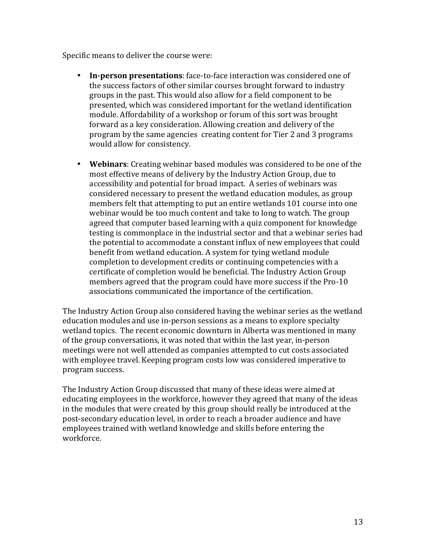Specific means to deliver the course were:

- **In-person presentations**: face-to-face interaction was considered one of the success factors of other similar courses brought forward to industry groups in the past. This would also allow for a field component to be presented, which was considered important for the wetland identification module. Affordability of a workshop or forum of this sort was brought forward as a key consideration. Allowing creation and delivery of the program by the same agencies creating content for Tier 2 and 3 programs would allow for consistency.
- **Webinars**: Creating webinar based modules was considered to be one of the most effective means of delivery by the Industry Action Group, due to accessibility and potential for broad impact. A series of webinars was considered necessary to present the wetland education modules, as group members felt that attempting to put an entire wetlands 101 course into one webinar would be too much content and take to long to watch. The group agreed that computer based learning with a quiz component for knowledge testing is commonplace in the industrial sector and that a webinar series had the potential to accommodate a constant influx of new employees that could benefit from wetland education. A system for tying wetland module completion to development credits or continuing competencies with a certificate of completion would be beneficial. The Industry Action Group members agreed that the program could have more success if the Pro-10 associations communicated the importance of the certification.

The Industry Action Group also considered having the webinar series as the wetland education modules and use in-person sessions as a means to explore specialty wetland topics. The recent economic downturn in Alberta was mentioned in many of the group conversations, it was noted that within the last year, in-person meetings were not well attended as companies attempted to cut costs associated with employee travel. Keeping program costs low was considered imperative to program success.

The Industry Action Group discussed that many of these ideas were aimed at educating employees in the workforce, however they agreed that many of the ideas in the modules that were created by this group should really be introduced at the post-secondary education level, in order to reach a broader audience and have employees trained with wetland knowledge and skills before entering the workforce.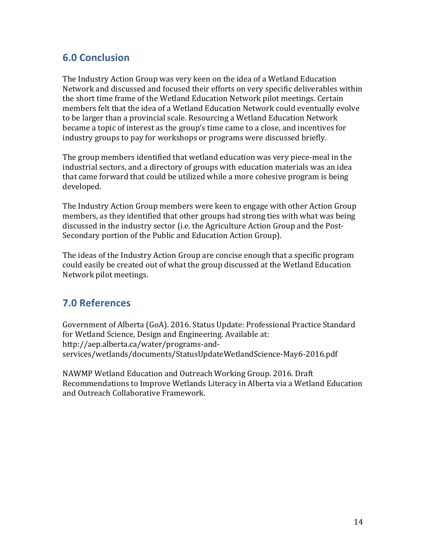## **6.0 Conclusion**

The Industry Action Group was very keen on the idea of a Wetland Education Network and discussed and focused their efforts on very specific deliverables within the short time frame of the Wetland Education Network pilot meetings. Certain members felt that the idea of a Wetland Education Network could eventually evolve to be larger than a provincial scale. Resourcing a Wetland Education Network became a topic of interest as the group's time came to a close, and incentives for industry groups to pay for workshops or programs were discussed briefly.

The group members identified that wetland education was very piece-meal in the industrial sectors, and a directory of groups with education materials was an idea that came forward that could be utilized while a more cohesive program is being developed. 

The Industry Action Group members were keen to engage with other Action Group members, as they identified that other groups had strong ties with what was being discussed in the industry sector (i.e. the Agriculture Action Group and the Post-Secondary portion of the Public and Education Action Group).

The ideas of the Industry Action Group are concise enough that a specific program could easily be created out of what the group discussed at the Wetland Education Network pilot meetings.

## **7.0 References**

Government of Alberta (GoA). 2016. Status Update: Professional Practice Standard for Wetland Science, Design and Engineering. Available at: http://aep.alberta.ca/water/programs-andservices/wetlands/documents/StatusUpdateWetlandScience-May6-2016.pdf

NAWMP Wetland Education and Outreach Working Group. 2016. Draft Recommendations to Improve Wetlands Literacy in Alberta via a Wetland Education and Outreach Collaborative Framework.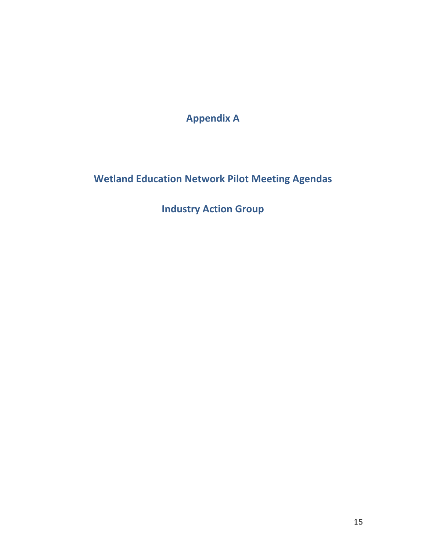**Appendix A**

**Wetland Education Network Pilot Meeting Agendas** 

**Industry Action Group**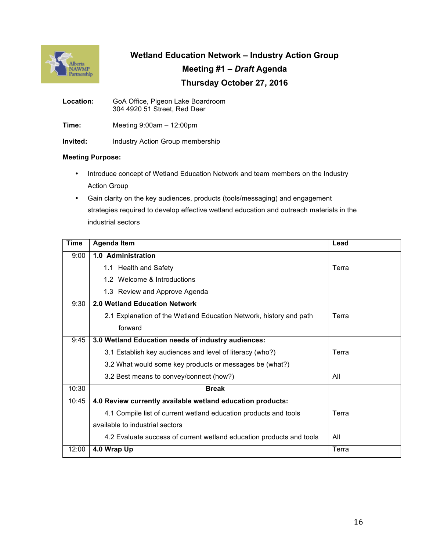

**Wetland Education Network – Industry Action Group Meeting #1 –** *Draft* **Agenda Thursday October 27, 2016**

**Location:** GoA Office, Pigeon Lake Boardroom 304 4920 51 Street, Red Deer

**Time:** Meeting 9:00am – 12:00pm

**Invited:** Industry Action Group membership

#### **Meeting Purpose:**

- Introduce concept of Wetland Education Network and team members on the Industry Action Group
- Gain clarity on the key audiences, products (tools/messaging) and engagement strategies required to develop effective wetland education and outreach materials in the industrial sectors

| <b>Time</b> | <b>Agenda Item</b>                                                   | Lead  |
|-------------|----------------------------------------------------------------------|-------|
| 9:00        | 1.0 Administration                                                   |       |
|             | 1.1 Health and Safety                                                | Terra |
|             | 1.2 Welcome & Introductions                                          |       |
|             | 1.3 Review and Approve Agenda                                        |       |
| 9:30        | <b>2.0 Wetland Education Network</b>                                 |       |
|             | 2.1 Explanation of the Wetland Education Network, history and path   | Terra |
|             | forward                                                              |       |
| 9:45        | 3.0 Wetland Education needs of industry audiences:                   |       |
|             | 3.1 Establish key audiences and level of literacy (who?)             | Terra |
|             | 3.2 What would some key products or messages be (what?)              |       |
|             | 3.2 Best means to convey/connect (how?)                              | All   |
| 10:30       | <b>Break</b>                                                         |       |
| 10:45       | 4.0 Review currently available wetland education products:           |       |
|             | 4.1 Compile list of current wetland education products and tools     | Terra |
|             | available to industrial sectors                                      |       |
|             | 4.2 Evaluate success of current wetland education products and tools | All   |
| 12:00       | 4.0 Wrap Up                                                          | Terra |